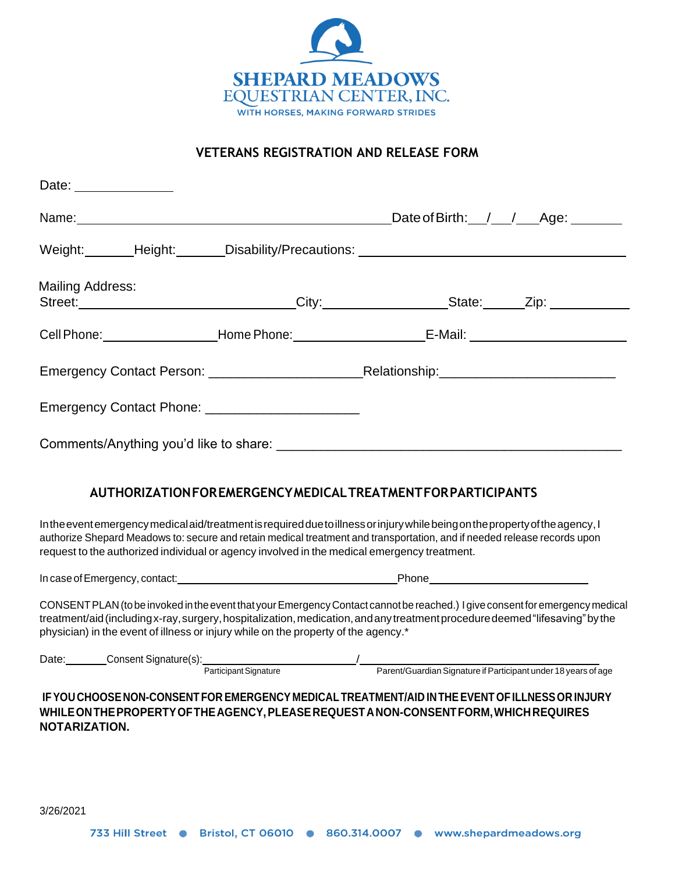

## **VETERANS REGISTRATION AND RELEASE FORM**

| Date: ______________                                                                        |                                                                                                                                                                                                                                                            |
|---------------------------------------------------------------------------------------------|------------------------------------------------------------------------------------------------------------------------------------------------------------------------------------------------------------------------------------------------------------|
|                                                                                             | Date of Birth: __/___/___Age: _______                                                                                                                                                                                                                      |
|                                                                                             | Weight:________Height:_______Disability/Precautions: ___________________________                                                                                                                                                                           |
| <b>Mailing Address:</b>                                                                     | Street:_______________________________City:_____________________State:______Zip:___________________                                                                                                                                                        |
|                                                                                             | Cell Phone: ____________________Home Phone: ________________________E-Mail: ________________________                                                                                                                                                       |
|                                                                                             |                                                                                                                                                                                                                                                            |
| Emergency Contact Phone: __________________________                                         |                                                                                                                                                                                                                                                            |
|                                                                                             |                                                                                                                                                                                                                                                            |
|                                                                                             | AUTHORIZATIONFOREMERGENCYMEDICALTREATMENTFORPARTICIPANTS                                                                                                                                                                                                   |
|                                                                                             | In the event emergency medical aid/treatment is required due to illness or injury while being on the property of the agency, I<br>authorize Shepard Meadows to: secure and retain medical treatment and transportation, and if needed release records upon |
| request to the authorized individual or agency involved in the medical emergency treatment. |                                                                                                                                                                                                                                                            |

physician) in the event of illness or injury while on the property of the agency.\*

| Date | Consent Signature(s): |                              |                                                                |
|------|-----------------------|------------------------------|----------------------------------------------------------------|
|      |                       | <b>Participant Signature</b> | Parent/Guardian Signature if Participant under 18 years of age |

**IFYOU CHOOSE NON-CONSENT FOR EMERGENCY MEDICAL TREATMENT/AID INTHEEVENT OF ILLNESSOR INJURY WHILEONTHEPROPERTYOFTHEAGENCY,PLEASEREQUESTANON-CONSENTFORM,WHICHREQUIRES NOTARIZATION.**